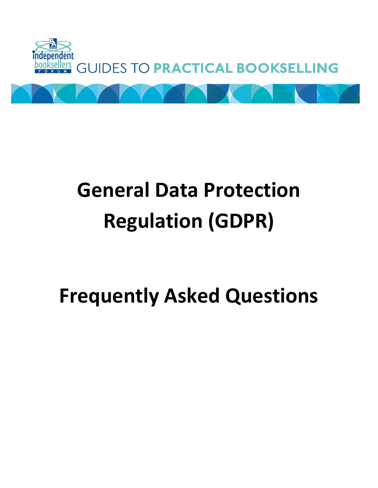

# **General Data Protection Regulation (GDPR)**

# **Frequently Asked Questions**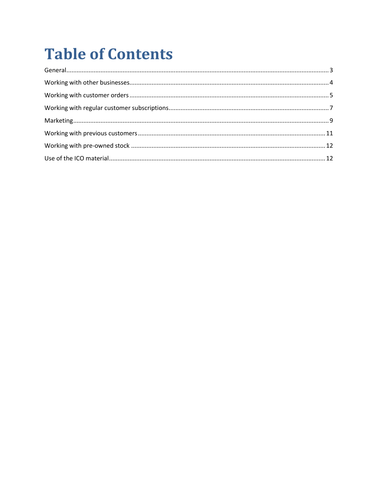# **Table of Contents**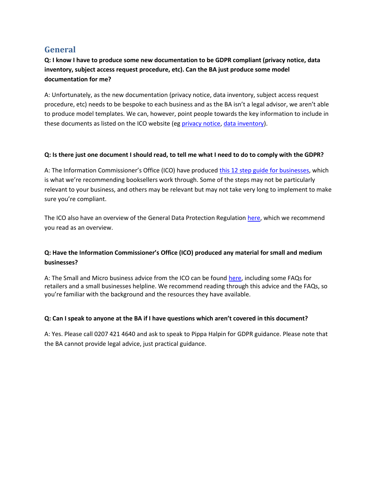# <span id="page-2-0"></span>**General**

**Q: I know I have to produce some new documentation to be GDPR compliant (privacy notice, data inventory, subject access request procedure, etc). Can the BA just produce some model documentation for me?**

A: Unfortunately, as the new documentation (privacy notice, data inventory, subject access request procedure, etc) needs to be bespoke to each business and as the BA isn't a legal advisor, we aren't able to produce model templates. We can, however, point people towards the key information to include in these documents as listed on the ICO website (e[g privacy notice,](https://ico.org.uk/for-organisations/guide-to-the-general-data-protection-regulation-gdpr/individual-rights/right-to-be-informed/) [data inventory\)](https://ico.org.uk/for-organisations/guide-to-the-general-data-protection-regulation-gdpr/accountability-and-governance/documentation/).

#### **Q: Is there just one document I should read, to tell me what I need to do to comply with the GDPR?**

A: The Information Commissioner's Office (ICO) have produced [this 12 step guide for businesses,](https://ico.org.uk/media/1624219/preparing-for-the-gdpr-12-steps.pdf) which is what we're recommending booksellers work through. Some of the steps may not be particularly relevant to your business, and others may be relevant but may not take very long to implement to make sure you're compliant.

The ICO also have an overview of the General Data Protection Regulation [here,](https://ico.org.uk/for-organisations/guide-to-the-general-data-protection-regulation-gdpr/) which we recommend you read as an overview.

#### **Q: Have the Information Commissioner's Office (ICO) produced any material for small and medium businesses?**

A: The Small and Micro business advice from the ICO can be found [here,](https://ico.org.uk/for-organisations/making-data-protection-your-business/) including some FAQs for retailers and a small businesses helpline. We recommend reading through this advice and the FAQs, so you're familiar with the background and the resources they have available.

#### **Q: Can I speak to anyone at the BA if I have questions which aren't covered in this document?**

A: Yes. Please call 0207 421 4640 and ask to speak to Pippa Halpin for GDPR guidance. Please note that the BA cannot provide legal advice, just practical guidance.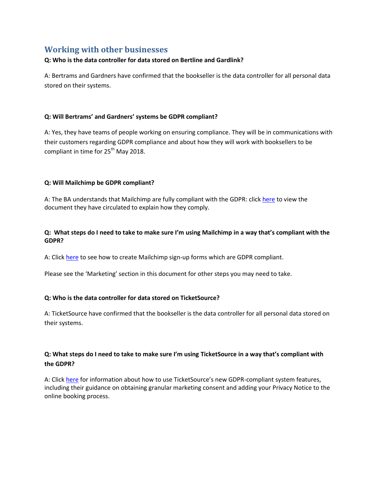# <span id="page-3-0"></span>**Working with other businesses**

#### **Q: Who is the data controller for data stored on Bertline and Gardlink?**

A: Bertrams and Gardners have confirmed that the bookseller is the data controller for all personal data stored on their systems.

#### **Q: Will Bertrams' and Gardners' systems be GDPR compliant?**

A: Yes, they have teams of people working on ensuring compliance. They will be in communications with their customers regarding GDPR compliance and about how they will work with booksellers to be compliant in time for 25<sup>th</sup> May 2018.

#### **Q: Will Mailchimp be GDPR compliant?**

A: The BA understands that Mailchimp are fully compliant with the GDPR: click [here](https://kb.mailchimp.com/binaries/content/assets/mailchimpkb/us/en/pdfs/mailchimp_gdpr_sept2017.pdf) to view the document they have circulated to explain how they comply.

#### **Q: What steps do I need to take to make sure I'm using Mailchimp in a way that's compliant with the GDPR?**

A: Click [here](https://kb.mailchimp.com/accounts/management/collect-consent-with-gdpr-forms?utm_source=email&utm_medium=email&utm_campaign=whats-new-april-2018&utm_term=unengaged&utm_content=collect-consent-with-gdpr-forms&mc_cid=66a509310b&mc_eid=ec1eb85ebb) to see how to create Mailchimp sign-up forms which are GDPR compliant.

Please see the 'Marketing' section in this document for other steps you may need to take.

#### **Q: Who is the data controller for data stored on TicketSource?**

A: TicketSource have confirmed that the bookseller is the data controller for all personal data stored on their systems.

#### **Q: What steps do I need to take to make sure I'm using TicketSource in a way that's compliant with the GDPR?**

A: Click [here](https://www.ticketsource.co.uk/kb/managing-your-account/gdpr) for information about how to use TicketSource's new GDPR-compliant system features, including their guidance on obtaining granular marketing consent and adding your Privacy Notice to the online booking process.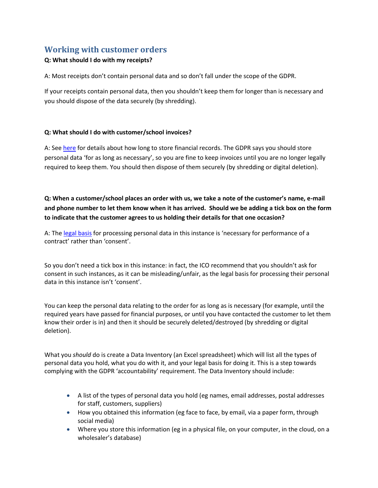# <span id="page-4-0"></span>**Working with customer orders**

#### **Q: What should I do with my receipts?**

A: Most receipts don't contain personal data and so don't fall under the scope of the GDPR.

If your receipts contain personal data, then you shouldn't keep them for longer than is necessary and you should dispose of the data securely (by shredding).

#### **Q: What should I do with customer/school invoices?**

A: See [here](https://www.gov.uk/running-a-limited-company/company-and-accounting-records) for details about how long to store financial records. The GDPR says you should store personal data 'for as long as necessary', so you are fine to keep invoices until you are no longer legally required to keep them. You should then dispose of them securely (by shredding or digital deletion).

**Q: When a customer/school places an order with us, we take a note of the customer's name, e-mail and phone number to let them know when it has arrived. Should we be adding a tick box on the form to indicate that the customer agrees to us holding their details for that one occasion?**

A: The [legal basis](https://ico.org.uk/for-organisations/guide-to-the-general-data-protection-regulation-gdpr/lawful-basis-for-processing/consent/) for processing personal data in this instance is 'necessary for performance of a contract' rather than 'consent'.

So you don't need a tick box in this instance: in fact, the ICO recommend that you shouldn't ask for consent in such instances, as it can be misleading/unfair, as the legal basis for processing their personal data in this instance isn't 'consent'.

You can keep the personal data relating to the order for as long as is necessary (for example, until the required years have passed for financial purposes, or until you have contacted the customer to let them know their order is in) and then it should be securely deleted/destroyed (by shredding or digital deletion).

What you *should* do is create a Data Inventory (an Excel spreadsheet) which will list all the types of personal data you hold, what you do with it, and your legal basis for doing it. This is a step towards complying with the GDPR 'accountability' requirement. The Data Inventory should include:

- A list of the types of personal data you hold (eg names, email addresses, postal addresses for staff, customers, suppliers)
- How you obtained this information (eg face to face, by email, via a paper form, through social media)
- Where you store this information (eg in a physical file, on your computer, in the cloud, on a wholesaler's database)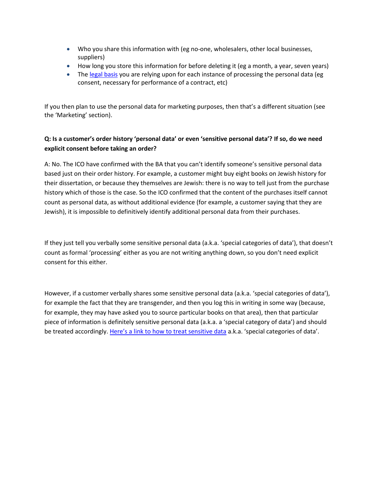- Who you share this information with (eg no-one, wholesalers, other local businesses, suppliers)
- How long you store this information for before deleting it (eg a month, a year, seven years)
- The [legal basis](https://ico.org.uk/for-organisations/guide-to-the-general-data-protection-regulation-gdpr/lawful-basis-for-processing/consent/) you are relying upon for each instance of processing the personal data (eg consent, necessary for performance of a contract, etc)

If you then plan to use the personal data for marketing purposes, then that's a different situation (see the 'Marketing' section).

#### **Q: Is a customer's order history 'personal data' or even 'sensitive personal data'? If so, do we need explicit consent before taking an order?**

A: No. The ICO have confirmed with the BA that you can't identify someone's sensitive personal data based just on their order history. For example, a customer might buy eight books on Jewish history for their dissertation, or because they themselves are Jewish: there is no way to tell just from the purchase history which of those is the case. So the ICO confirmed that the content of the purchases itself cannot count as personal data, as without additional evidence (for example, a customer saying that they are Jewish), it is impossible to definitively identify additional personal data from their purchases.

If they just tell you verbally some sensitive personal data (a.k.a. 'special categories of data'), that doesn't count as formal 'processing' either as you are not writing anything down, so you don't need explicit consent for this either.

However, if a customer verbally shares some sensitive personal data (a.k.a. 'special categories of data'), for example the fact that they are transgender, and then you log this in writing in some way (because, for example, they may have asked you to source particular books on that area), then that particular piece of information is definitely sensitive personal data (a.k.a. a 'special category of data') and should be treated accordingly. [Here's a link to how to treat sensitive data](https://ico.org.uk/for-organisations/guide-to-the-general-data-protection-regulation-gdpr/lawful-basis-for-processing/special-category-data/) a.k.a. 'special categories of data'.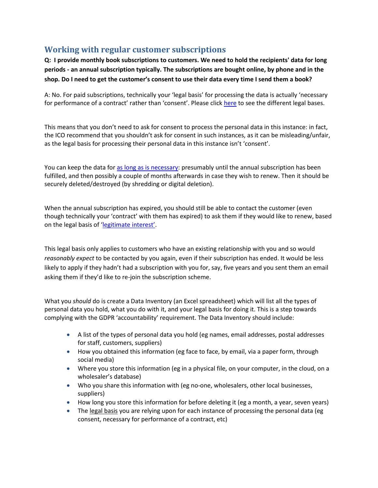# <span id="page-6-0"></span>**Working with regular customer subscriptions**

**Q: I provide monthly book subscriptions to customers. We need to hold the recipients' data for long periods - an annual subscription typically. The subscriptions are bought online, by phone and in the shop. Do I need to get the customer's consent to use their data every time I send them a book?**

A: No. For paid subscriptions, technically your 'legal basis' for processing the data is actually 'necessary for performance of a contract' rather than 'consent'. Please click [here](https://ico.org.uk/for-organisations/guide-to-the-general-data-protection-regulation-gdpr/lawful-basis-for-processing/#ib3) to see the different legal bases.

This means that you don't need to ask for consent to process the personal data in this instance: in fact, the ICO recommend that you shouldn't ask for consent in such instances, as it can be misleading/unfair, as the legal basis for processing their personal data in this instance isn't 'consent'.

You can keep the data for [as long as is necessary:](https://ico.org.uk/for-organisations/guide-to-the-general-data-protection-regulation-gdpr/principles/) presumably until the annual subscription has been fulfilled, and then possibly a couple of months afterwards in case they wish to renew. Then it should be securely deleted/destroyed (by shredding or digital deletion).

When the annual subscription has expired, you should still be able to contact the customer (even though technically your 'contract' with them has expired) to ask them if they would like to renew, based on the legal basis of ['legitimate interest'](https://ico.org.uk/for-organisations/guide-to-the-general-data-protection-regulation-gdpr/lawful-basis-for-processing/legitimate-interests/).

This legal basis only applies to customers who have an existing relationship with you and so would *reasonably expect* to be contacted by you again, even if their subscription has ended. It would be less likely to apply if they hadn't had a subscription with you for, say, five years and you sent them an email asking them if they'd like to re-join the subscription scheme.

What you *should* do is create a Data Inventory (an Excel spreadsheet) which will list all the types of personal data you hold, what you do with it, and your legal basis for doing it. This is a step towards complying with the GDPR 'accountability' requirement. The Data Inventory should include:

- A list of the types of personal data you hold (eg names, email addresses, postal addresses for staff, customers, suppliers)
- How you obtained this information (eg face to face, by email, via a paper form, through social media)
- Where you store this information (eg in a physical file, on your computer, in the cloud, on a wholesaler's database)
- Who you share this information with (eg no-one, wholesalers, other local businesses, suppliers)
- How long you store this information for before deleting it (eg a month, a year, seven years)
- The [legal basis](https://ico.org.uk/for-organisations/guide-to-the-general-data-protection-regulation-gdpr/lawful-basis-for-processing/consent/) you are relying upon for each instance of processing the personal data (eg consent, necessary for performance of a contract, etc)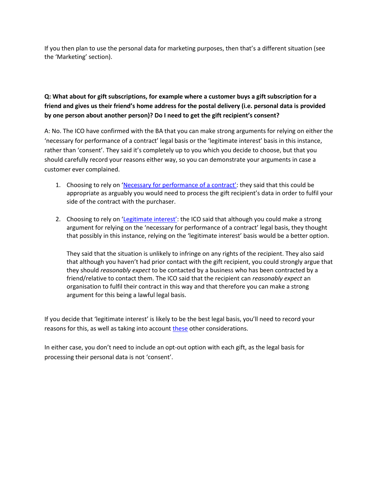If you then plan to use the personal data for marketing purposes, then that's a different situation (see the 'Marketing' section).

### **Q: What about for gift subscriptions, for example where a customer buys a gift subscription for a friend and gives us their friend's home address for the postal delivery (i.e. personal data is provided by one person about another person)? Do I need to get the gift recipient's consent?**

A: No. The ICO have confirmed with the BA that you can make strong arguments for relying on either the 'necessary for performance of a contract' legal basis or the 'legitimate interest' basis in this instance, rather than 'consent'. They said it's completely up to you which you decide to choose, but that you should carefully record your reasons either way, so you can demonstrate your arguments in case a customer ever complained.

- 1. Choosing to rely on ['Necessary for performance of a contract'](https://ico.org.uk/for-organisations/guide-to-the-general-data-protection-regulation-gdpr/lawful-basis-for-processing/contract/): they said that this could be appropriate as arguably you would need to process the gift recipient's data in order to fulfil your side of the contract with the purchaser.
- 2. Choosing to rely on ['Legitimate interest'](https://ico.org.uk/for-organisations/guide-to-the-general-data-protection-regulation-gdpr/lawful-basis-for-processing/legitimate-interests/): the ICO said that although you could make a strong argument for relying on the 'necessary for performance of a contract' legal basis, they thought that possibly in this instance, relying on the 'legitimate interest' basis would be a better option.

They said that the situation is unlikely to infringe on any rights of the recipient. They also said that although you haven't had prior contact with the gift recipient, you could strongly argue that they should *reasonably expect* to be contacted by a business who has been contracted by a friend/relative to contact them. The ICO said that the recipient can *reasonably expect* an organisation to fulfil their contract in this way and that therefore you can make a strong argument for this being a lawful legal basis.

If you decide that 'legitimate interest' is likely to be the best legal basis, you'll need to record your reasons for this, as well as taking into accoun[t these](https://ico.org.uk/for-organisations/guide-to-the-general-data-protection-regulation-gdpr/legitimate-interests/what-else-do-we-need-to-consider/) other considerations.

In either case, you don't need to include an opt-out option with each gift, as the legal basis for processing their personal data is not 'consent'.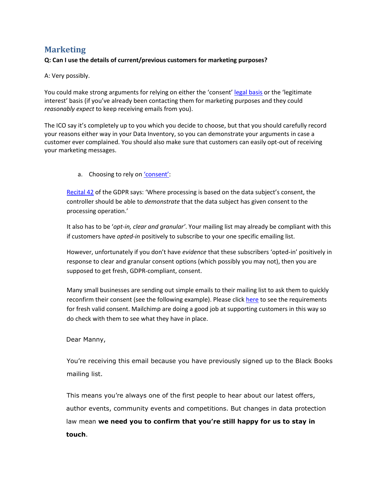# <span id="page-8-0"></span>**Marketing**

#### **Q: Can I use the details of current/previous customers for marketing purposes?**

A: Very possibly.

You could make strong arguments for relying on either the 'consent' [legal basis](https://ico.org.uk/for-organisations/guide-to-the-general-data-protection-regulation-gdpr/lawful-basis-for-processing/consent/) or the 'legitimate interest' basis (if you've already been contacting them for marketing purposes and they could *reasonably expect* to keep receiving emails from you).

The ICO say it's completely up to you which you decide to choose, but that you should carefully record your reasons either way in your Data Inventory, so you can demonstrate your arguments in case a customer ever complained. You should also make sure that customers can easily opt-out of receiving your marketing messages.

a. Choosing to rely on ['consent'](https://ico.org.uk/for-organisations/guide-to-the-general-data-protection-regulation-gdpr/lawful-basis-for-processing/consent/):

[Recital 42](https://gdpr-info.eu/recitals/no-42/) of the GDPR says: 'Where processing is based on the data subject's consent, the controller should be able to *demonstrate* that the data subject has given consent to the processing operation.'

It also has to be '*opt-in, clear and granular'*. Your mailing list may already be compliant with this if customers have *opted-in* positively to subscribe to your one specific emailing list.

However, unfortunately if you don't have *evidence* that these subscribers 'opted-in' positively in response to clear and granular consent options (which possibly you may not), then you are supposed to get fresh, GDPR-compliant, consent.

Many small businesses are sending out simple emails to their mailing list to ask them to quickly reconfirm their consent (see the following example). Please clic[k here](https://ico.org.uk/for-organisations/guide-to-the-general-data-protection-regulation-gdpr/lawful-basis-for-processing/consent/) to see the requirements for fresh valid consent. Mailchimp are doing a good job at supporting customers in this way so do check with them to see what they have in place.

#### Dear Manny,

You're receiving this email because you have previously signed up to the Black Books mailing list.

This means you're always one of the first people to hear about our latest offers, author events, community events and competitions. But changes in data protection law mean **we need you to confirm that you're still happy for us to stay in touch**.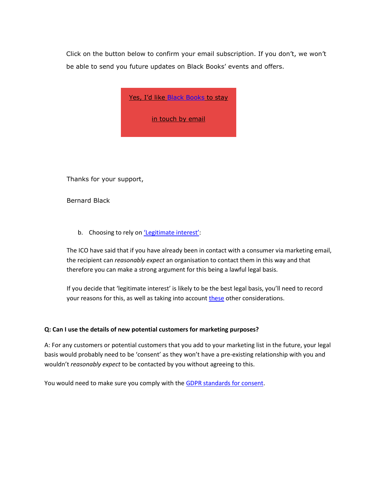Click on the button below to confirm your email subscription. If you don't, we won't be able to send you future updates on Black Books' events and offers.

Yes, I'd like Black [Books](https://en.wikipedia.org/wiki/Black_Books) to stay

in [touch](https://en.wikipedia.org/wiki/Black_Books) by email

Thanks for your support,

Bernard Black

b. Choosing to rely on ['Legitimate interest'](https://ico.org.uk/for-organisations/guide-to-the-general-data-protection-regulation-gdpr/lawful-basis-for-processing/legitimate-interests/):

The ICO have said that if you have already been in contact with a consumer via marketing email, the recipient can *reasonably expect* an organisation to contact them in this way and that therefore you can make a strong argument for this being a lawful legal basis.

If you decide that 'legitimate interest' is likely to be the best legal basis, you'll need to record your reasons for this, as well as taking into accoun[t these](https://ico.org.uk/for-organisations/guide-to-the-general-data-protection-regulation-gdpr/legitimate-interests/what-else-do-we-need-to-consider/) other considerations.

#### **Q: Can I use the details of new potential customers for marketing purposes?**

A: For any customers or potential customers that you add to your marketing list in the future, your legal basis would probably need to be 'consent' as they won't have a pre-existing relationship with you and wouldn't *reasonably expect* to be contacted by you without agreeing to this.

You would need to make sure you comply with the [GDPR standards for consent.](https://ico.org.uk/for-organisations/guide-to-the-general-data-protection-regulation-gdpr/lawful-basis-for-processing/consent/)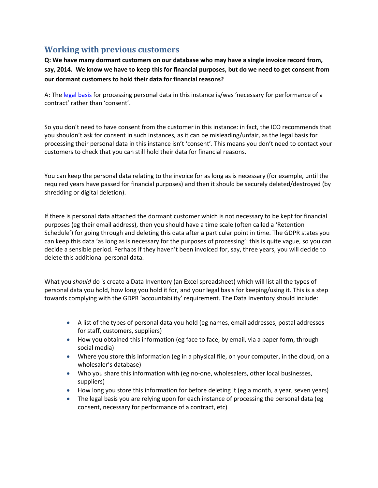# <span id="page-10-0"></span>**Working with previous customers**

**Q: We have many dormant customers on our database who may have a single invoice record from, say, 2014. We know we have to keep this for financial purposes, but do we need to get consent from our dormant customers to hold their data for financial reasons?**

A: The [legal basis](https://ico.org.uk/for-organisations/guide-to-the-general-data-protection-regulation-gdpr/lawful-basis-for-processing/consent/) for processing personal data in this instance is/was 'necessary for performance of a contract' rather than 'consent'.

So you don't need to have consent from the customer in this instance: in fact, the ICO recommends that you shouldn't ask for consent in such instances, as it can be misleading/unfair, as the legal basis for processing their personal data in this instance isn't 'consent'. This means you don't need to contact your customers to check that you can still hold their data for financial reasons.

You can keep the personal data relating to the invoice for as long as is necessary (for example, until the required years have passed for financial purposes) and then it should be securely deleted/destroyed (by shredding or digital deletion).

If there is personal data attached the dormant customer which is not necessary to be kept for financial purposes (eg their email address), then you should have a time scale (often called a 'Retention Schedule') for going through and deleting this data after a particular point in time. The GDPR states you can keep this data 'as long as is necessary for the purposes of processing': this is quite vague, so you can decide a sensible period. Perhaps if they haven't been invoiced for, say, three years, you will decide to delete this additional personal data.

What you *should* do is create a Data Inventory (an Excel spreadsheet) which will list all the types of personal data you hold, how long you hold it for, and your legal basis for keeping/using it. This is a step towards complying with the GDPR 'accountability' requirement. The Data Inventory should include:

- A list of the types of personal data you hold (eg names, email addresses, postal addresses for staff, customers, suppliers)
- How you obtained this information (eg face to face, by email, via a paper form, through social media)
- Where you store this information (eg in a physical file, on your computer, in the cloud, on a wholesaler's database)
- Who you share this information with (eg no-one, wholesalers, other local businesses, suppliers)
- How long you store this information for before deleting it (eg a month, a year, seven years)
- The [legal basis](https://ico.org.uk/for-organisations/guide-to-the-general-data-protection-regulation-gdpr/lawful-basis-for-processing/consent/) you are relying upon for each instance of processing the personal data (eg consent, necessary for performance of a contract, etc)